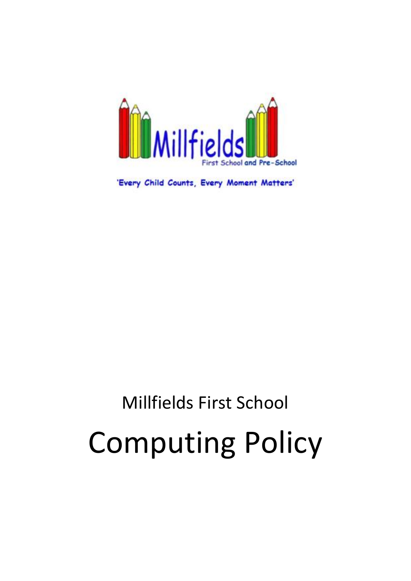

'Every Child Counts, Every Moment Matters'

# Millfields First School Computing Policy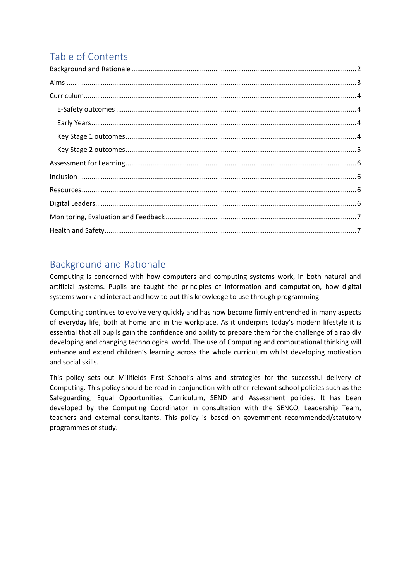# Table of Contents

# <span id="page-1-0"></span>Background and Rationale

Computing is concerned with how computers and computing systems work, in both natural and artificial systems. Pupils are taught the principles of information and computation, how digital systems work and interact and how to put this knowledge to use through programming.

Computing continues to evolve very quickly and has now become firmly entrenched in many aspects of everyday life, both at home and in the workplace. As it underpins today's modern lifestyle it is essential that all pupils gain the confidence and ability to prepare them for the challenge of a rapidly developing and changing technological world. The use of Computing and computational thinking will enhance and extend children's learning across the whole curriculum whilst developing motivation and social skills.

This policy sets out Millfields First School's aims and strategies for the successful delivery of Computing. This policy should be read in conjunction with other relevant school policies such as the Safeguarding, Equal Opportunities, Curriculum, SEND and Assessment policies. It has been developed by the Computing Coordinator in consultation with the SENCO, Leadership Team, teachers and external consultants. This policy is based on government recommended/statutory programmes of study.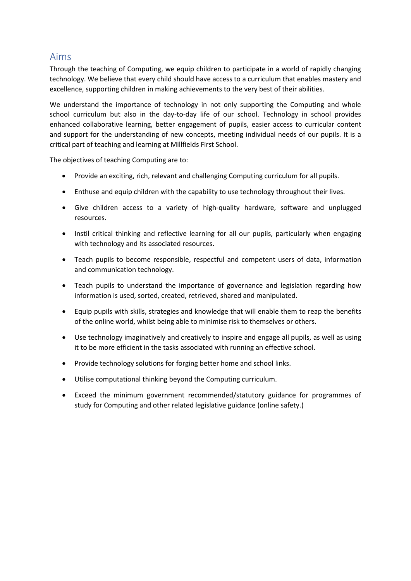## <span id="page-2-0"></span>Aims

Through the teaching of Computing, we equip children to participate in a world of rapidly changing technology. We believe that every child should have access to a curriculum that enables mastery and excellence, supporting children in making achievements to the very best of their abilities.

We understand the importance of technology in not only supporting the Computing and whole school curriculum but also in the day-to-day life of our school. Technology in school provides enhanced collaborative learning, better engagement of pupils, easier access to curricular content and support for the understanding of new concepts, meeting individual needs of our pupils. It is a critical part of teaching and learning at Millfields First School.

The objectives of teaching Computing are to:

- Provide an exciting, rich, relevant and challenging Computing curriculum for all pupils.
- Enthuse and equip children with the capability to use technology throughout their lives.
- Give children access to a variety of high-quality hardware, software and unplugged resources.
- Instil critical thinking and reflective learning for all our pupils, particularly when engaging with technology and its associated resources.
- Teach pupils to become responsible, respectful and competent users of data, information and communication technology.
- Teach pupils to understand the importance of governance and legislation regarding how information is used, sorted, created, retrieved, shared and manipulated.
- Equip pupils with skills, strategies and knowledge that will enable them to reap the benefits of the online world, whilst being able to minimise risk to themselves or others.
- Use technology imaginatively and creatively to inspire and engage all pupils, as well as using it to be more efficient in the tasks associated with running an effective school.
- Provide technology solutions for forging better home and school links.
- Utilise computational thinking beyond the Computing curriculum.
- Exceed the minimum government recommended/statutory guidance for programmes of study for Computing and other related legislative guidance (online safety.)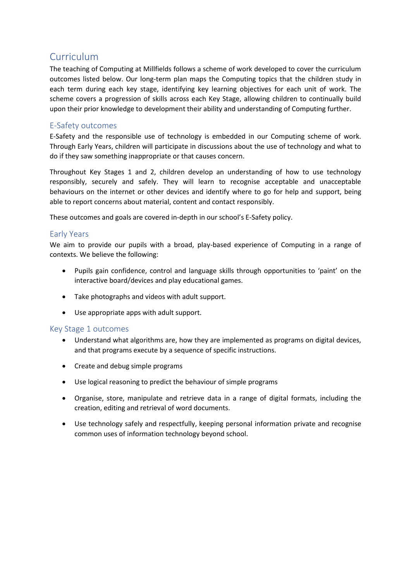## <span id="page-3-0"></span>Curriculum

The teaching of Computing at Millfields follows a scheme of work developed to cover the curriculum outcomes listed below. Our long-term plan maps the Computing topics that the children study in each term during each key stage, identifying key learning objectives for each unit of work. The scheme covers a progression of skills across each Key Stage, allowing children to continually build upon their prior knowledge to development their ability and understanding of Computing further.

#### <span id="page-3-1"></span>E-Safety outcomes

E-Safety and the responsible use of technology is embedded in our Computing scheme of work. Through Early Years, children will participate in discussions about the use of technology and what to do if they saw something inappropriate or that causes concern.

Throughout Key Stages 1 and 2, children develop an understanding of how to use technology responsibly, securely and safely. They will learn to recognise acceptable and unacceptable behaviours on the internet or other devices and identify where to go for help and support, being able to report concerns about material, content and contact responsibly.

These outcomes and goals are covered in-depth in our school's E-Safety policy.

#### <span id="page-3-2"></span>Early Years

We aim to provide our pupils with a broad, play-based experience of Computing in a range of contexts. We believe the following:

- Pupils gain confidence, control and language skills through opportunities to 'paint' on the interactive board/devices and play educational games.
- Take photographs and videos with adult support.
- Use appropriate apps with adult support.

#### <span id="page-3-3"></span>Key Stage 1 outcomes

- Understand what algorithms are, how they are implemented as programs on digital devices, and that programs execute by a sequence of specific instructions.
- Create and debug simple programs
- Use logical reasoning to predict the behaviour of simple programs
- Organise, store, manipulate and retrieve data in a range of digital formats, including the creation, editing and retrieval of word documents.
- Use technology safely and respectfully, keeping personal information private and recognise common uses of information technology beyond school.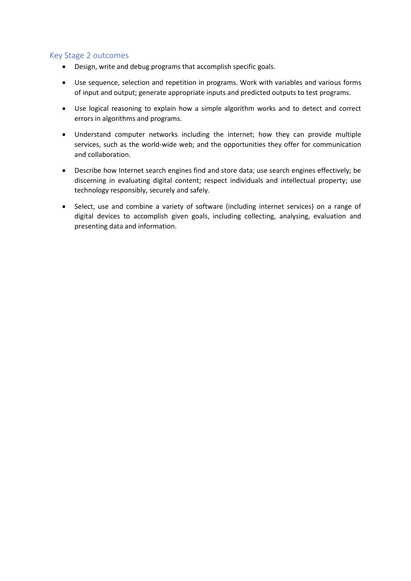#### <span id="page-4-0"></span>Key Stage 2 outcomes

- Design, write and debug programs that accomplish specific goals.
- Use sequence, selection and repetition in programs. Work with variables and various forms of input and output; generate appropriate inputs and predicted outputs to test programs.
- Use logical reasoning to explain how a simple algorithm works and to detect and correct errors in algorithms and programs.
- Understand computer networks including the internet; how they can provide multiple services, such as the world-wide web; and the opportunities they offer for communication and collaboration.
- Describe how Internet search engines find and store data; use search engines effectively; be discerning in evaluating digital content; respect individuals and intellectual property; use technology responsibly, securely and safely.
- Select, use and combine a variety of software (including internet services) on a range of digital devices to accomplish given goals, including collecting, analysing, evaluation and presenting data and information.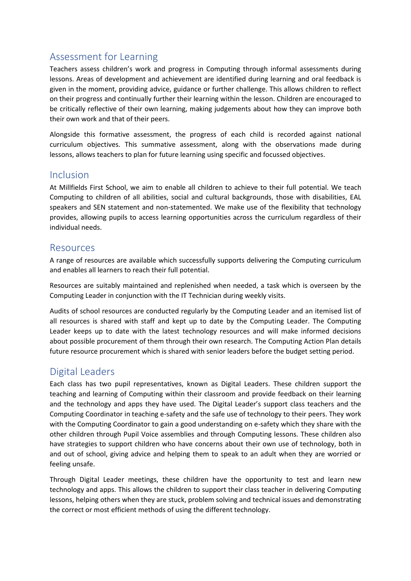# <span id="page-5-0"></span>Assessment for Learning

Teachers assess children's work and progress in Computing through informal assessments during lessons. Areas of development and achievement are identified during learning and oral feedback is given in the moment, providing advice, guidance or further challenge. This allows children to reflect on their progress and continually further their learning within the lesson. Children are encouraged to be critically reflective of their own learning, making judgements about how they can improve both their own work and that of their peers.

Alongside this formative assessment, the progress of each child is recorded against national curriculum objectives. This summative assessment, along with the observations made during lessons, allows teachers to plan for future learning using specific and focussed objectives.

## <span id="page-5-1"></span>Inclusion

At Millfields First School, we aim to enable all children to achieve to their full potential. We teach Computing to children of all abilities, social and cultural backgrounds, those with disabilities, EAL speakers and SEN statement and non-statemented. We make use of the flexibility that technology provides, allowing pupils to access learning opportunities across the curriculum regardless of their individual needs.

## <span id="page-5-2"></span>Resources

A range of resources are available which successfully supports delivering the Computing curriculum and enables all learners to reach their full potential.

Resources are suitably maintained and replenished when needed, a task which is overseen by the Computing Leader in conjunction with the IT Technician during weekly visits.

Audits of school resources are conducted regularly by the Computing Leader and an itemised list of all resources is shared with staff and kept up to date by the Computing Leader. The Computing Leader keeps up to date with the latest technology resources and will make informed decisions about possible procurement of them through their own research. The Computing Action Plan details future resource procurement which is shared with senior leaders before the budget setting period.

## <span id="page-5-3"></span>Digital Leaders

Each class has two pupil representatives, known as Digital Leaders. These children support the teaching and learning of Computing within their classroom and provide feedback on their learning and the technology and apps they have used. The Digital Leader's support class teachers and the Computing Coordinator in teaching e-safety and the safe use of technology to their peers. They work with the Computing Coordinator to gain a good understanding on e-safety which they share with the other children through Pupil Voice assemblies and through Computing lessons. These children also have strategies to support children who have concerns about their own use of technology, both in and out of school, giving advice and helping them to speak to an adult when they are worried or feeling unsafe.

Through Digital Leader meetings, these children have the opportunity to test and learn new technology and apps. This allows the children to support their class teacher in delivering Computing lessons, helping others when they are stuck, problem solving and technical issues and demonstrating the correct or most efficient methods of using the different technology.